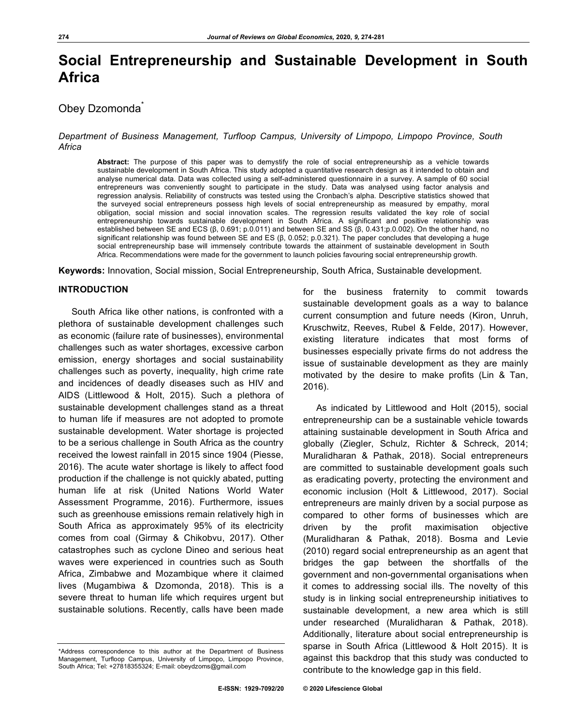# **Social Entrepreneurship and Sustainable Development in South Africa**

## Obey Dzomonda<sup>\*</sup>

*Department of Business Management, Turfloop Campus, University of Limpopo, Limpopo Province, South Africa*

**Abstract:** The purpose of this paper was to demystify the role of social entrepreneurship as a vehicle towards sustainable development in South Africa. This study adopted a quantitative research design as it intended to obtain and analyse numerical data. Data was collected using a self-administered questionnaire in a survey. A sample of 60 social entrepreneurs was conveniently sought to participate in the study. Data was analysed using factor analysis and regression analysis. Reliability of constructs was tested using the Cronbach's alpha. Descriptive statistics showed that the surveyed social entrepreneurs possess high levels of social entrepreneurship as measured by empathy, moral obligation, social mission and social innovation scales. The regression results validated the key role of social entrepreneurship towards sustainable development in South Africa. A significant and positive relationship was established between SE and ECS (β, 0.691; p.0.011) and between SE and SS (β, 0.431;p.0.002). On the other hand, no significant relationship was found between SE and ES (β, 0.052; p.0.321). The paper concludes that developing a huge social entrepreneurship base will immensely contribute towards the attainment of sustainable development in South Africa. Recommendations were made for the government to launch policies favouring social entrepreneurship growth.

**Keywords:** Innovation, Social mission, Social Entrepreneurship, South Africa, Sustainable development.

### **INTRODUCTION**

South Africa like other nations, is confronted with a plethora of sustainable development challenges such as economic (failure rate of businesses), environmental challenges such as water shortages, excessive carbon emission, energy shortages and social sustainability challenges such as poverty, inequality, high crime rate and incidences of deadly diseases such as HIV and AIDS (Littlewood & Holt, 2015). Such a plethora of sustainable development challenges stand as a threat to human life if measures are not adopted to promote sustainable development. Water shortage is projected to be a serious challenge in South Africa as the country received the lowest rainfall in 2015 since 1904 (Piesse, 2016). The acute water shortage is likely to affect food production if the challenge is not quickly abated, putting human life at risk (United Nations World Water Assessment Programme, 2016). Furthermore, issues such as greenhouse emissions remain relatively high in South Africa as approximately 95% of its electricity comes from coal (Girmay & Chikobvu, 2017). Other catastrophes such as cyclone Dineo and serious heat waves were experienced in countries such as South Africa, Zimbabwe and Mozambique where it claimed lives (Mugambiwa & Dzomonda, 2018). This is a severe threat to human life which requires urgent but sustainable solutions. Recently, calls have been made

for the business fraternity to commit towards sustainable development goals as a way to balance current consumption and future needs (Kiron, Unruh, Kruschwitz, Reeves, Rubel & Felde, 2017). However, existing literature indicates that most forms of businesses especially private firms do not address the issue of sustainable development as they are mainly motivated by the desire to make profits (Lin & Tan, 2016).

As indicated by Littlewood and Holt (2015), social entrepreneurship can be a sustainable vehicle towards attaining sustainable development in South Africa and globally (Ziegler, Schulz, Richter & Schreck, 2014; Muralidharan & Pathak, 2018). Social entrepreneurs are committed to sustainable development goals such as eradicating poverty, protecting the environment and economic inclusion (Holt & Littlewood, 2017). Social entrepreneurs are mainly driven by a social purpose as compared to other forms of businesses which are driven by the profit maximisation objective (Muralidharan & Pathak, 2018). Bosma and Levie (2010) regard social entrepreneurship as an agent that bridges the gap between the shortfalls of the government and non-governmental organisations when it comes to addressing social ills. The novelty of this study is in linking social entrepreneurship initiatives to sustainable development, a new area which is still under researched (Muralidharan & Pathak, 2018). Additionally, literature about social entrepreneurship is sparse in South Africa (Littlewood & Holt 2015). It is against this backdrop that this study was conducted to contribute to the knowledge gap in this field.

<sup>\*</sup>Address correspondence to this author at the Department of Business Management, Turfloop Campus, University of Limpopo, Limpopo Province, South Africa; Tel: +27818355324; E-mail: obeydzoms@gmail.com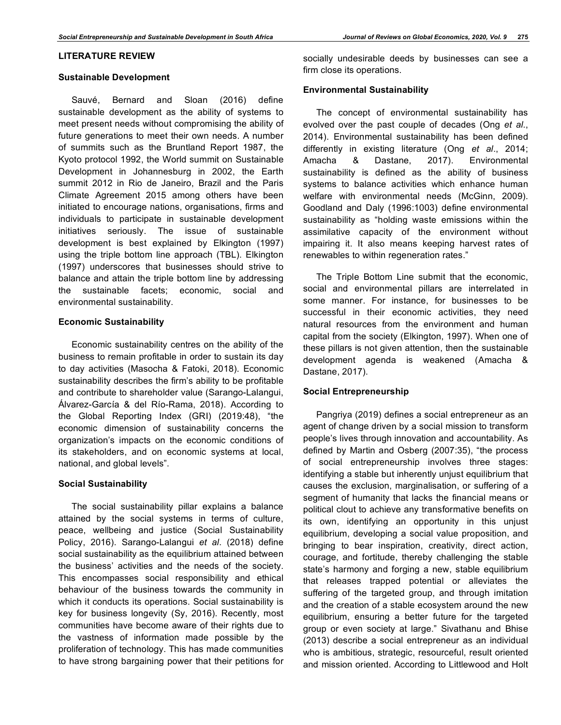### **LITERATURE REVIEW**

#### **Sustainable Development**

Sauvé, Bernard and Sloan (2016) define sustainable development as the ability of systems to meet present needs without compromising the ability of future generations to meet their own needs. A number of summits such as the Bruntland Report 1987, the Kyoto protocol 1992, the World summit on Sustainable Development in Johannesburg in 2002, the Earth summit 2012 in Rio de Janeiro, Brazil and the Paris Climate Agreement 2015 among others have been initiated to encourage nations, organisations, firms and individuals to participate in sustainable development initiatives seriously. The issue of sustainable development is best explained by Elkington (1997) using the triple bottom line approach (TBL). Elkington (1997) underscores that businesses should strive to balance and attain the triple bottom line by addressing the sustainable facets; economic, social and environmental sustainability.

### **Economic Sustainability**

Economic sustainability centres on the ability of the business to remain profitable in order to sustain its day to day activities (Masocha & Fatoki, 2018). Economic sustainability describes the firm's ability to be profitable and contribute to shareholder value (Sarango-Lalangui, Álvarez-García & del Río-Rama, 2018). According to the Global Reporting Index (GRI) (2019:48), "the economic dimension of sustainability concerns the organization's impacts on the economic conditions of its stakeholders, and on economic systems at local, national, and global levels".

### **Social Sustainability**

The social sustainability pillar explains a balance attained by the social systems in terms of culture, peace, wellbeing and justice (Social Sustainability Policy, 2016). Sarango-Lalangui *et al*. (2018) define social sustainability as the equilibrium attained between the business' activities and the needs of the society. This encompasses social responsibility and ethical behaviour of the business towards the community in which it conducts its operations. Social sustainability is key for business longevity (Sy, 2016). Recently, most communities have become aware of their rights due to the vastness of information made possible by the proliferation of technology. This has made communities to have strong bargaining power that their petitions for socially undesirable deeds by businesses can see a firm close its operations.

### **Environmental Sustainability**

The concept of environmental sustainability has evolved over the past couple of decades (Ong *et al*., 2014). Environmental sustainability has been defined differently in existing literature (Ong *et al*., 2014; Amacha & Dastane, 2017). Environmental sustainability is defined as the ability of business systems to balance activities which enhance human welfare with environmental needs (McGinn, 2009). Goodland and Daly (1996:1003) define environmental sustainability as "holding waste emissions within the assimilative capacity of the environment without impairing it. It also means keeping harvest rates of renewables to within regeneration rates."

The Triple Bottom Line submit that the economic, social and environmental pillars are interrelated in some manner. For instance, for businesses to be successful in their economic activities, they need natural resources from the environment and human capital from the society (Elkington, 1997). When one of these pillars is not given attention, then the sustainable development agenda is weakened (Amacha & Dastane, 2017).

### **Social Entrepreneurship**

Pangriya (2019) defines a social entrepreneur as an agent of change driven by a social mission to transform people's lives through innovation and accountability. As defined by Martin and Osberg (2007:35), "the process of social entrepreneurship involves three stages: identifying a stable but inherently unjust equilibrium that causes the exclusion, marginalisation, or suffering of a segment of humanity that lacks the financial means or political clout to achieve any transformative benefits on its own, identifying an opportunity in this unjust equilibrium, developing a social value proposition, and bringing to bear inspiration, creativity, direct action, courage, and fortitude, thereby challenging the stable state's harmony and forging a new, stable equilibrium that releases trapped potential or alleviates the suffering of the targeted group, and through imitation and the creation of a stable ecosystem around the new equilibrium, ensuring a better future for the targeted group or even society at large." Sivathanu and Bhise (2013) describe a social entrepreneur as an individual who is ambitious, strategic, resourceful, result oriented and mission oriented. According to Littlewood and Holt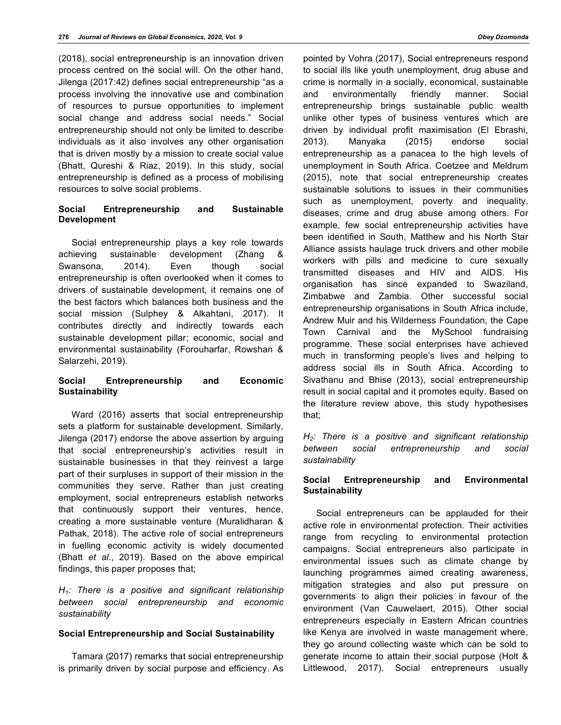(2018), social entrepreneurship is an innovation driven process centred on the social will. On the other hand, Jilenga (2017:42) defines social entrepreneurship "as a process involving the innovative use and combination of resources to pursue opportunities to implement social change and address social needs." Social entrepreneurship should not only be limited to describe individuals as it also involves any other organisation that is driven mostly by a mission to create social value (Bhatt, Qureshi & Riaz, 2019). In this study, social entrepreneurship is defined as a process of mobilising resources to solve social problems.

### **Social Entrepreneurship and Sustainable Development**

Social entrepreneurship plays a key role towards achieving sustainable development (Zhang & Swansona, 2014). Even though social entrepreneurship is often overlooked when it comes to drivers of sustainable development, it remains one of the best factors which balances both business and the social mission (Sulphey & Alkahtani, 2017). It contributes directly and indirectly towards each sustainable development pillar; economic, social and environmental sustainability (Forouharfar, Rowshan & Salarzehi, 2019).

### **Social Entrepreneurship and Economic Sustainability**

Ward (2016) asserts that social entrepreneurship sets a platform for sustainable development. Similarly, Jilenga (2017) endorse the above assertion by arguing that social entrepreneurship's activities result in sustainable businesses in that they reinvest a large part of their surpluses in support of their mission in the communities they serve. Rather than just creating employment, social entrepreneurs establish networks that continuously support their ventures, hence, creating a more sustainable venture (Muralidharan & Pathak, 2018). The active role of social entrepreneurs in fuelling economic activity is widely documented (Bhatt *et al*., 2019). Based on the above empirical findings, this paper proposes that;

*H1: There is a positive and significant relationship between social entrepreneurship and economic sustainability*

### **Social Entrepreneurship and Social Sustainability**

Tamara (2017) remarks that social entrepreneurship is primarily driven by social purpose and efficiency. As

pointed by Vohra (2017), Social entrepreneurs respond to social ills like youth unemployment, drug abuse and crime is normally in a socially, economical, sustainable and environmentally friendly manner. Social entrepreneurship brings sustainable public wealth unlike other types of business ventures which are driven by individual profit maximisation (El Ebrashi, 2013). Manyaka (2015) endorse social entrepreneurship as a panacea to the high levels of unemployment in South Africa. Coetzee and Meldrum (2015), note that social entrepreneurship creates sustainable solutions to issues in their communities such as unemployment, poverty and inequality, diseases, crime and drug abuse among others. For example, few social entrepreneurship activities have been identified in South, Matthew and his North Star Alliance assists haulage truck drivers and other mobile workers with pills and medicine to cure sexually transmitted diseases and HIV and AIDS. His organisation has since expanded to Swaziland, Zimbabwe and Zambia. Other successful social entrepreneurship organisations in South Africa include, Andrew Muir and his Wilderness Foundation, the Cape Town Carnival and the MySchool fundraising programme. These social enterprises have achieved much in transforming people's lives and helping to address social ills in South Africa. According to Sivathanu and Bhise (2013), social entrepreneurship result in social capital and it promotes equity. Based on the literature review above, this study hypothesises that;

*H2: There is a positive and significant relationship between social entrepreneurship and social sustainability*

### **Social Entrepreneurship and Environmental Sustainability**

Social entrepreneurs can be applauded for their active role in environmental protection. Their activities range from recycling to environmental protection campaigns. Social entrepreneurs also participate in environmental issues such as climate change by launching programmes aimed creating awareness, mitigation strategies and also put pressure on governments to align their policies in favour of the environment (Van Cauwelaert, 2015). Other social entrepreneurs especially in Eastern African countries like Kenya are involved in waste management where, they go around collecting waste which can be sold to generate income to attain their social purpose (Holt & Littlewood, 2017). Social entrepreneurs usually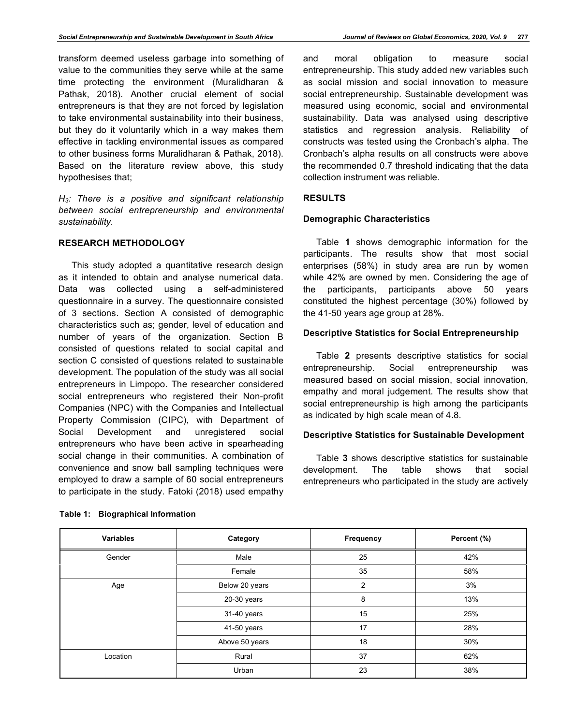transform deemed useless garbage into something of value to the communities they serve while at the same time protecting the environment (Muralidharan & Pathak, 2018). Another crucial element of social entrepreneurs is that they are not forced by legislation to take environmental sustainability into their business, but they do it voluntarily which in a way makes them effective in tackling environmental issues as compared to other business forms Muralidharan & Pathak, 2018). Based on the literature review above, this study hypothesises that;

*H3: There is a positive and significant relationship between social entrepreneurship and environmental sustainability.*

### **RESEARCH METHODOLOGY**

This study adopted a quantitative research design as it intended to obtain and analyse numerical data. Data was collected using a self-administered questionnaire in a survey. The questionnaire consisted of 3 sections. Section A consisted of demographic characteristics such as; gender, level of education and number of years of the organization. Section B consisted of questions related to social capital and section C consisted of questions related to sustainable development. The population of the study was all social entrepreneurs in Limpopo. The researcher considered social entrepreneurs who registered their Non-profit Companies (NPC) with the Companies and Intellectual Property Commission (CIPC), with Department of Social Development and unregistered social entrepreneurs who have been active in spearheading social change in their communities. A combination of convenience and snow ball sampling techniques were employed to draw a sample of 60 social entrepreneurs to participate in the study. Fatoki (2018) used empathy and moral obligation to measure social entrepreneurship. This study added new variables such as social mission and social innovation to measure social entrepreneurship. Sustainable development was measured using economic, social and environmental sustainability. Data was analysed using descriptive statistics and regression analysis. Reliability of constructs was tested using the Cronbach's alpha. The Cronbach's alpha results on all constructs were above the recommended 0.7 threshold indicating that the data collection instrument was reliable.

### **RESULTS**

### **Demographic Characteristics**

Table **1** shows demographic information for the participants. The results show that most social enterprises (58%) in study area are run by women while 42% are owned by men. Considering the age of the participants, participants above 50 years constituted the highest percentage (30%) followed by the 41-50 years age group at 28%.

### **Descriptive Statistics for Social Entrepreneurship**

Table **2** presents descriptive statistics for social entrepreneurship. Social entrepreneurship was measured based on social mission, social innovation, empathy and moral judgement. The results show that social entrepreneurship is high among the participants as indicated by high scale mean of 4.8.

### **Descriptive Statistics for Sustainable Development**

Table **3** shows descriptive statistics for sustainable development. The table shows that social entrepreneurs who participated in the study are actively

| <b>Variables</b> | Category       | Frequency      | Percent (%) |
|------------------|----------------|----------------|-------------|
| Gender           | Male           | 25             | 42%         |
|                  | Female         | 35             | 58%         |
| Age              | Below 20 years | $\overline{2}$ | 3%          |
|                  | 20-30 years    | 8              | 13%         |
|                  | 31-40 years    | 15             | 25%         |
|                  | 41-50 years    | 17             | 28%         |
|                  | Above 50 years | 18             | 30%         |
| Location         | Rural          | 37             | 62%         |
|                  | Urban          | 23             | 38%         |

### **Table 1: Biographical Information**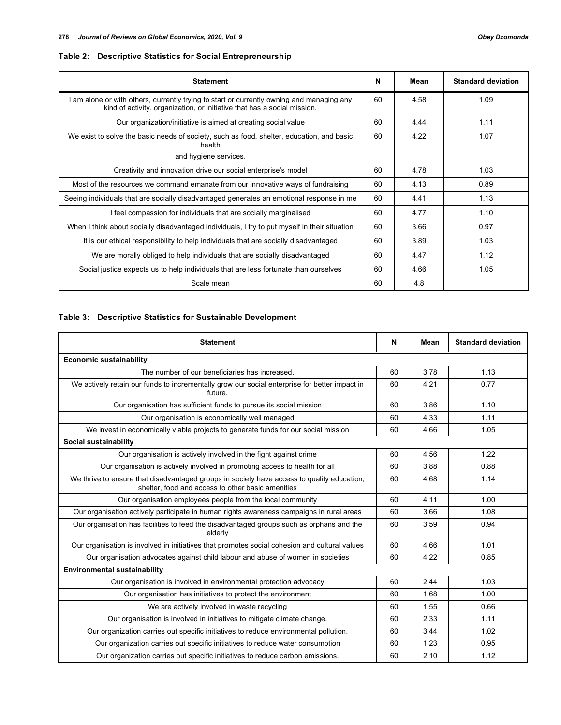### **Table 2: Descriptive Statistics for Social Entrepreneurship**

| <b>Statement</b>                                                                                                                                                      |    | Mean | <b>Standard deviation</b> |
|-----------------------------------------------------------------------------------------------------------------------------------------------------------------------|----|------|---------------------------|
| I am alone or with others, currently trying to start or currently owning and managing any<br>kind of activity, organization, or initiative that has a social mission. |    | 4.58 | 1.09                      |
| Our organization/initiative is aimed at creating social value                                                                                                         | 60 | 444  | 1.11                      |
| We exist to solve the basic needs of society, such as food, shelter, education, and basic<br>health                                                                   |    | 4.22 | 1.07                      |
| and hygiene services.                                                                                                                                                 |    |      |                           |
| Creativity and innovation drive our social enterprise's model                                                                                                         |    | 4.78 | 1.03                      |
| Most of the resources we command emanate from our innovative ways of fundraising                                                                                      |    | 4.13 | 0.89                      |
| Seeing individuals that are socially disadvantaged generates an emotional response in me                                                                              |    | 4.41 | 1.13                      |
| I feel compassion for individuals that are socially marginalised                                                                                                      |    | 4.77 | 1.10                      |
| When I think about socially disadvantaged individuals, I try to put myself in their situation                                                                         |    | 3.66 | 0.97                      |
| It is our ethical responsibility to help individuals that are socially disadvantaged                                                                                  |    | 3.89 | 1.03                      |
| We are morally obliged to help individuals that are socially disadvantaged                                                                                            |    | 4.47 | 1.12                      |
| Social justice expects us to help individuals that are less fortunate than ourselves                                                                                  |    | 4.66 | 1.05                      |
| Scale mean                                                                                                                                                            |    | 4.8  |                           |

### **Table 3: Descriptive Statistics for Sustainable Development**

| <b>Statement</b>                                                                                                                                |    | Mean | <b>Standard deviation</b> |  |  |  |
|-------------------------------------------------------------------------------------------------------------------------------------------------|----|------|---------------------------|--|--|--|
| <b>Economic sustainability</b>                                                                                                                  |    |      |                           |  |  |  |
| The number of our beneficiaries has increased.                                                                                                  | 60 | 3.78 | 1.13                      |  |  |  |
| We actively retain our funds to incrementally grow our social enterprise for better impact in<br>future.                                        |    | 4.21 | 0.77                      |  |  |  |
| Our organisation has sufficient funds to pursue its social mission                                                                              | 60 | 3.86 | 1.10                      |  |  |  |
| Our organisation is economically well managed                                                                                                   | 60 | 4.33 | 1.11                      |  |  |  |
| We invest in economically viable projects to generate funds for our social mission                                                              | 60 | 4.66 | 1.05                      |  |  |  |
| Social sustainability                                                                                                                           |    |      |                           |  |  |  |
| Our organisation is actively involved in the fight against crime                                                                                |    | 4.56 | 1.22                      |  |  |  |
| Our organisation is actively involved in promoting access to health for all                                                                     |    | 3.88 | 0.88                      |  |  |  |
| We thrive to ensure that disadvantaged groups in society have access to quality education,<br>shelter, food and access to other basic amenities |    | 4.68 | 1.14                      |  |  |  |
| Our organisation employees people from the local community                                                                                      |    | 4.11 | 1.00                      |  |  |  |
| Our organisation actively participate in human rights awareness campaigns in rural areas                                                        | 60 | 3.66 | 1.08                      |  |  |  |
| Our organisation has facilities to feed the disadvantaged groups such as orphans and the<br>elderly                                             |    | 3.59 | 0.94                      |  |  |  |
| Our organisation is involved in initiatives that promotes social cohesion and cultural values                                                   |    | 4.66 | 1.01                      |  |  |  |
| Our organisation advocates against child labour and abuse of women in societies                                                                 | 60 | 4.22 | 0.85                      |  |  |  |
| <b>Environmental sustainability</b>                                                                                                             |    |      |                           |  |  |  |
| Our organisation is involved in environmental protection advocacy                                                                               | 60 | 2.44 | 1.03                      |  |  |  |
| Our organisation has initiatives to protect the environment                                                                                     |    | 1.68 | 1.00                      |  |  |  |
| We are actively involved in waste recycling                                                                                                     |    | 1.55 | 0.66                      |  |  |  |
| Our organisation is involved in initiatives to mitigate climate change.                                                                         |    | 2.33 | 1.11                      |  |  |  |
| Our organization carries out specific initiatives to reduce environmental pollution.                                                            |    | 3.44 | 1.02                      |  |  |  |
| Our organization carries out specific initiatives to reduce water consumption                                                                   |    | 1.23 | 0.95                      |  |  |  |
| Our organization carries out specific initiatives to reduce carbon emissions.                                                                   |    | 2.10 | 1.12                      |  |  |  |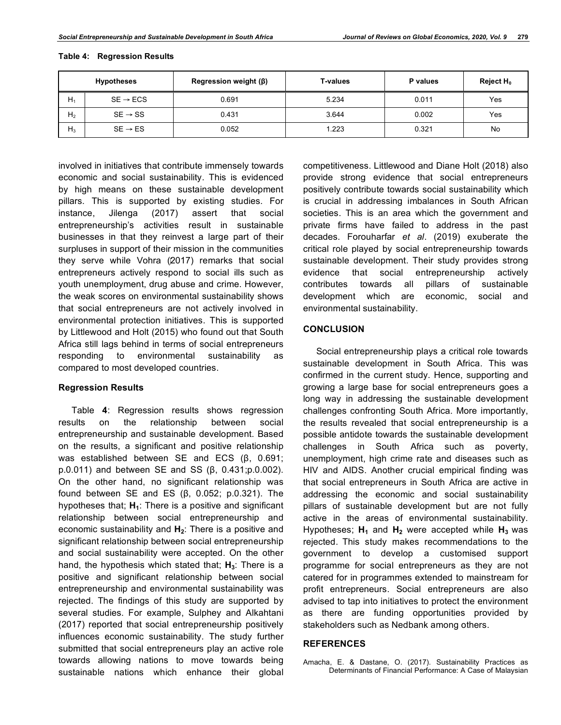|                | <b>Hypotheses</b>    | Regression weight $(\beta)$ | <b>T-values</b> | P values | Reject H <sub>0</sub> |
|----------------|----------------------|-----------------------------|-----------------|----------|-----------------------|
| $H_1$          | $SE \rightarrow ECS$ | 0.691                       | 5.234           | 0.011    | Yes                   |
| H <sub>2</sub> | $SE \rightarrow SS$  | 0.431                       | 3.644           | 0.002    | Yes                   |
| $H_3$          | $SE \rightarrow ES$  | 0.052                       | 1.223           | 0.321    | No                    |

### **Table 4: Regression Results**

involved in initiatives that contribute immensely towards economic and social sustainability. This is evidenced by high means on these sustainable development pillars. This is supported by existing studies. For instance, Jilenga (2017) assert that social entrepreneurship's activities result in sustainable businesses in that they reinvest a large part of their surpluses in support of their mission in the communities they serve while Vohra (2017) remarks that social entrepreneurs actively respond to social ills such as youth unemployment, drug abuse and crime. However, the weak scores on environmental sustainability shows that social entrepreneurs are not actively involved in environmental protection initiatives. This is supported by Littlewood and Holt (2015) who found out that South Africa still lags behind in terms of social entrepreneurs responding to environmental sustainability as compared to most developed countries.

#### **Regression Results**

Table **4**: Regression results shows regression results on the relationship between social entrepreneurship and sustainable development. Based on the results, a significant and positive relationship was established between SE and ECS (β, 0.691; p.0.011) and between SE and SS (β, 0.431;p.0.002). On the other hand, no significant relationship was found between SE and ES (β, 0.052; p.0.321). The hypotheses that; H<sub>1</sub>: There is a positive and significant relationship between social entrepreneurship and economic sustainability and H<sub>2</sub>: There is a positive and significant relationship between social entrepreneurship and social sustainability were accepted. On the other hand, the hypothesis which stated that;  $H_3$ : There is a positive and significant relationship between social entrepreneurship and environmental sustainability was rejected. The findings of this study are supported by several studies. For example, Sulphey and Alkahtani (2017) reported that social entrepreneurship positively influences economic sustainability. The study further submitted that social entrepreneurs play an active role towards allowing nations to move towards being sustainable nations which enhance their global

competitiveness. Littlewood and Diane Holt (2018) also provide strong evidence that social entrepreneurs positively contribute towards social sustainability which is crucial in addressing imbalances in South African societies. This is an area which the government and private firms have failed to address in the past decades. Forouharfar *et al*. (2019) exuberate the critical role played by social entrepreneurship towards sustainable development. Their study provides strong evidence that social entrepreneurship actively contributes towards all pillars of sustainable development which are economic, social and environmental sustainability.

### **CONCLUSION**

Social entrepreneurship plays a critical role towards sustainable development in South Africa. This was confirmed in the current study. Hence, supporting and growing a large base for social entrepreneurs goes a long way in addressing the sustainable development challenges confronting South Africa. More importantly, the results revealed that social entrepreneurship is a possible antidote towards the sustainable development challenges in South Africa such as poverty, unemployment, high crime rate and diseases such as HIV and AIDS. Another crucial empirical finding was that social entrepreneurs in South Africa are active in addressing the economic and social sustainability pillars of sustainable development but are not fully active in the areas of environmental sustainability. Hypotheses;  $H_1$  and  $H_2$  were accepted while  $H_3$  was rejected. This study makes recommendations to the government to develop a customised support programme for social entrepreneurs as they are not catered for in programmes extended to mainstream for profit entrepreneurs. Social entrepreneurs are also advised to tap into initiatives to protect the environment as there are funding opportunities provided by stakeholders such as Nedbank among others.

### **REFERENCES**

Amacha, E. & Dastane, O. (2017). Sustainability Practices as Determinants of Financial Performance: A Case of Malaysian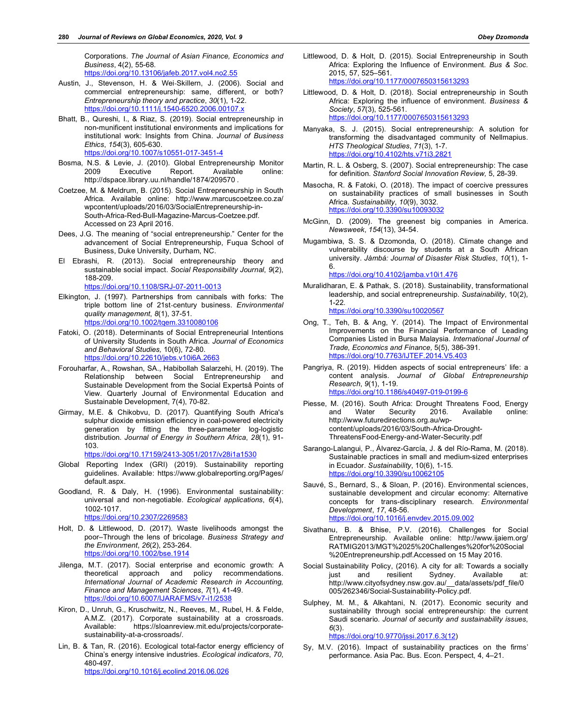Corporations. *The Journal of Asian Finance, Economics and Business*, 4(2), 55-68. https://doi.org/10.13106/jafeb.2017.vol4.no2.55

- Austin, J., Stevenson, H. & Wei**‐**Skillern, J. (2006). Social and commercial entrepreneurship: same, different, or both? *Entrepreneurship theory and practice*, *30*(1), 1-22. https://doi.org/10.1111/j.1540-6520.2006.00107.x
- Bhatt, B., Qureshi, I., & Riaz, S. (2019). Social entrepreneurship in non-munificent institutional environments and implications for institutional work: Insights from China. *Journal of Business Ethics*, *154*(3), 605-630.

https://doi.org/10.1007/s10551-017-3451-4

- Bosma, N.S. & Levie, J. (2010). Global Entrepreneurship Monitor 2009 Executive Report. Available online: http://dspace.library.uu.nl/handle/1874/209570 .
- Coetzee, M. & Meldrum, B. (2015). Social Entrepreneurship in South Africa. Available online: http://www.marcuscoetzee.co.za/ wpcontent/uploads/2016/03/SocialEntrepreneurship-in-South-Africa-Red-Bull-Magazine-Marcus-Coetzee.pdf. Accessed on 23 April 2016.
- Dees, J.G. The meaning of "social entrepreneurship." Center for the advancement of Social Entrepreneurship, Fuqua School of Business, Duke University, Durham, NC.
- El Ebrashi, R. (2013). Social entrepreneurship theory and sustainable social impact. *Social Responsibility Journal*, *9*(2), 188-209. https://doi.org/10.1108/SRJ-07-2011-0013
- Elkington, J. (1997). Partnerships from cannibals with forks: The triple bottom line of 21st**‐**century business. *Environmental quality management*, *8*(1), 37-51. https://doi.org/10.1002/tqem.3310080106
- Fatoki, O. (2018). Determinants of Social Entrepreneurial Intentions of University Students in South Africa. *Journal of Economics and Behavioral Studies,* 10(6), 72-80. https://doi.org/10.22610/jebs.v10i6A.2663
- Forouharfar, A., Rowshan, SA., Habibollah Salarzehi, H. (2019). The Relationship between Social Entrepreneurship and Sustainable Development from the Social Expertsâ Points of View. Quarterly Journal of Environmental Education and Sustainable Development, 7(4), 70-82.
- Girmay, M.E. & Chikobvu, D. (2017). Quantifying South Africa's sulphur dioxide emission efficiency in coal-powered electricity generation by fitting the three-parameter log-logistic distribution. *Journal of Energy in Southern Africa*, *28*(1), 91- 103.

https://doi.org/10.17159/2413-3051/2017/v28i1a1530

- Global Reporting Index (GRI) (2019). Sustainability reporting guidelines. Available: https://www.globalreporting.org/Pages/ default.aspx.
- Goodland, R. & Daly, H. (1996). Environmental sustainability: universal and non**‐**negotiable. *Ecological applications*, *6*(4), 1002-1017. https://doi.org/10.2307/2269583
- Holt, D. & Littlewood, D. (2017). Waste livelihoods amongst the poor–Through the lens of bricolage. *Business Strategy and the Environment*, *26*(2), 253-264. https://doi.org/10.1002/bse.1914
- Jilenga, M.T. (2017). Social enterprise and economic growth: A theoretical approach and policy recommendations. *International Journal of Academic Research in Accounting, Finance and Management Sciences*, *7*(1), 41-49. https://doi.org/10.6007/IJARAFMS/v7-i1/2
- Kiron, D., Unruh, G., Kruschwitz, N., Reeves, M., Rubel, H. & Felde, A.M.Z. (2017). Corporate sustainability at a crossroads.<br>Available: https://sloanreview.mit.edu/projects/corporate $h$ tttps://sloanreview.mit.edu/projects/corporatesustainability-at-a-crossroads/.
- Lin, B. & Tan, R. (2016). Ecological total-factor energy efficiency of China's energy intensive industries. *Ecological indicators*, *70*, 480-497. https://doi.org/10.1016/j.ecolind.2016.06.026

Littlewood, D. & Holt, D. (2015). Social Entrepreneurship in South Africa: Exploring the Influence of Environment. *Bus & Soc*. 2015, 57, 525–561. https://doi.org/10.1177/0007650315613293

Littlewood, D. & Holt, D. (2018). Social entrepreneurship in South Africa: Exploring the influence of environment. *Business & Society*, *57*(3), 525-561. https://doi.org/10.1177/0007650315613293

Manyaka, S. J. (2015). Social entrepreneurship: A solution for transforming the disadvantaged community of Nellmapius. *HTS Theological Studies*, *71*(3), 1-7. https://doi.org/10.4102/hts.v71i3.2821

- Martin, R. L. & Osberg, S. (2007). Social entrepreneurship: The case for definition. *Stanford Social Innovation Review,* 5, 28-39.
- Masocha, R. & Fatoki, O. (2018). The impact of coercive pressures on sustainability practices of small businesses in South Africa. *Sustainability*, *10*(9), 3032. https://doi.org/10.3390/su10093032
- McGinn, D. (2009). The greenest big companies in America. *Newsweek*, *154*(13), 34-54.
- Mugambiwa, S. S. & Dzomonda, O. (2018). Climate change and vulnerability discourse by students at a South African university. *Jàmbá: Journal of Disaster Risk Studies*, *10*(1), 1- 6.

https://doi.org/10.4102/jamba.v10i1.476

Muralidharan, E. & Pathak, S. (2018). Sustainability, transformational leadership, and social entrepreneurship. *Sustainability*, 10(2), 1-22.

https://doi.org/10.3390/su10020567

- Ong, T., Teh, B. & Ang, Y. (2014). The Impact of Environmental Improvements on the Financial Performance of Leading Companies Listed in Bursa Malaysia. *International Journal of Trade, Economics and Finance,* 5(5), 386-391. https://doi.org/10.7763/IJTEF.2014.V5.403
- Pangriya, R. (2019). Hidden aspects of social entrepreneurs' life: a content analysis. *Journal of Global Entrepreneurship Research*, *9*(1), 1-19. https://doi.org/10.1186/s40497-019-0199-6
- Piesse, M. (2016). South Africa: Drought Threatens Food, Energy and Water Security 2016. Available online: http://www.futuredirections.org.au/wpcontent/uploads/2016/03/South-Africa-Drought-ThreatensFood-Energy-and-Water-Security.pdf
- Sarango-Lalangui, P., Álvarez-García, J. & del Río-Rama, M. (2018). Sustainable practices in small and medium-sized enterprises in Ecuador. *Sustainability*, 10(6), 1-15. https://doi.org/10.3390/su10062105
- Sauvé, S., Bernard, S., & Sloan, P. (2016). Environmental sciences, sustainable development and circular economy: Alternative concepts for trans-disciplinary research. *Environmental Development*, *17*, 48-56. https://doi.org/10.1016/j.envdev.2015.09.002
- Sivathanu, B. & Bhise, P.V. (2016). Challenges for Social Entrepreneurship. Available online: http://www.ijaiem.org/ RATMIG2013/MGT%2025%20Challenges%20for%20Social %20Entrepreneurship.pdf.Accessed on 15 May 2016.
- Social Sustainability Policy, (2016). A city for all: Towards a socially just and resilient Sydney. Available at: http://www.cityofsydney.nsw.gov.au/\_\_data/assets/pdf\_file/0 005/262346/Social-Sustainability-Policy.pdf.
- Sulphey, M. M., & Alkahtani, N. (2017). Economic security and sustainability through social entrepreneurship: the current Saudi scenario. *Journal of security and sustainability issues*, *6*(3).

https://doi.org/10.9770/jssi.2017.6.3(12)

Sy, M.V. (2016). Impact of sustainability practices on the firms' performance. Asia Pac. Bus. Econ. Perspect, 4, 4–21.